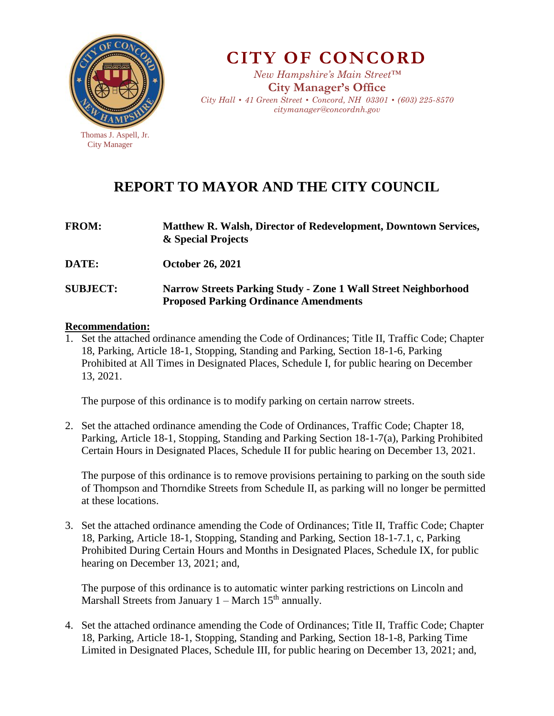

City Manager

**CITY OF CONCORD**

*New Hampshire's Main Street™* **City Manager's Office** *City Hall • 41 Green Street • Concord, NH 03301 • (603) 225-8570 citymanager@concordnh.gov*

# **REPORT TO MAYOR AND THE CITY COUNCIL**

| <b>FROM:</b>    | <b>Matthew R. Walsh, Director of Redevelopment, Downtown Services,</b><br>& Special Projects                          |  |  |  |
|-----------------|-----------------------------------------------------------------------------------------------------------------------|--|--|--|
| <b>DATE:</b>    | <b>October 26, 2021</b>                                                                                               |  |  |  |
| <b>SUBJECT:</b> | <b>Narrow Streets Parking Study - Zone 1 Wall Street Neighborhood</b><br><b>Proposed Parking Ordinance Amendments</b> |  |  |  |

#### **Recommendation:**

1. Set the attached ordinance amending the Code of Ordinances; Title II, Traffic Code; Chapter 18, Parking, Article 18-1, Stopping, Standing and Parking, Section 18-1-6, Parking Prohibited at All Times in Designated Places, Schedule I, for public hearing on December 13, 2021.

The purpose of this ordinance is to modify parking on certain narrow streets.

2. Set the attached ordinance amending the Code of Ordinances, Traffic Code; Chapter 18, Parking, Article 18-1, Stopping, Standing and Parking Section 18-1-7(a), Parking Prohibited Certain Hours in Designated Places, Schedule II for public hearing on December 13, 2021.

The purpose of this ordinance is to remove provisions pertaining to parking on the south side of Thompson and Thorndike Streets from Schedule II, as parking will no longer be permitted at these locations.

3. Set the attached ordinance amending the Code of Ordinances; Title II, Traffic Code; Chapter 18, Parking, Article 18-1, Stopping, Standing and Parking, Section 18-1-7.1, c, Parking Prohibited During Certain Hours and Months in Designated Places, Schedule IX, for public hearing on December 13, 2021; and,

The purpose of this ordinance is to automatic winter parking restrictions on Lincoln and Marshall Streets from January  $1 - \text{March } 15^{\text{th}}$  annually.

4. Set the attached ordinance amending the Code of Ordinances; Title II, Traffic Code; Chapter 18, Parking, Article 18-1, Stopping, Standing and Parking, Section 18-1-8, Parking Time Limited in Designated Places, Schedule III, for public hearing on December 13, 2021; and,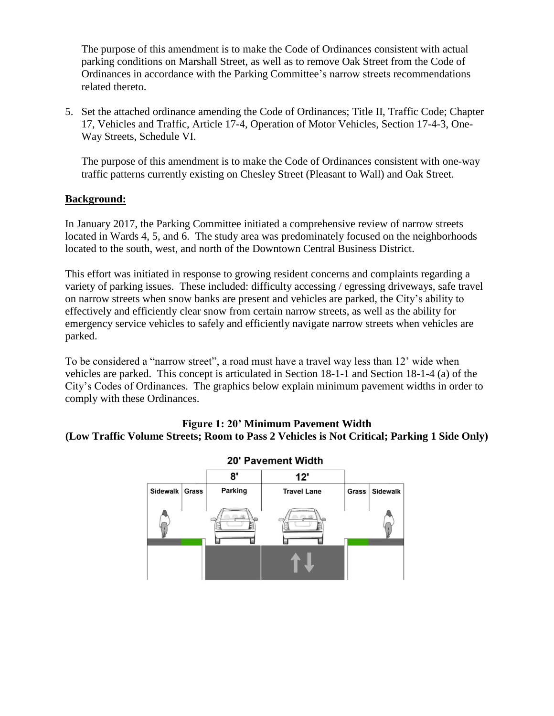The purpose of this amendment is to make the Code of Ordinances consistent with actual parking conditions on Marshall Street, as well as to remove Oak Street from the Code of Ordinances in accordance with the Parking Committee's narrow streets recommendations related thereto.

5. Set the attached ordinance amending the Code of Ordinances; Title II, Traffic Code; Chapter 17, Vehicles and Traffic, Article 17-4, Operation of Motor Vehicles, Section 17-4-3, One-Way Streets, Schedule VI.

The purpose of this amendment is to make the Code of Ordinances consistent with one-way traffic patterns currently existing on Chesley Street (Pleasant to Wall) and Oak Street.

#### **Background:**

In January 2017, the Parking Committee initiated a comprehensive review of narrow streets located in Wards 4, 5, and 6. The study area was predominately focused on the neighborhoods located to the south, west, and north of the Downtown Central Business District.

This effort was initiated in response to growing resident concerns and complaints regarding a variety of parking issues. These included: difficulty accessing / egressing driveways, safe travel on narrow streets when snow banks are present and vehicles are parked, the City's ability to effectively and efficiently clear snow from certain narrow streets, as well as the ability for emergency service vehicles to safely and efficiently navigate narrow streets when vehicles are parked.

To be considered a "narrow street", a road must have a travel way less than 12' wide when vehicles are parked. This concept is articulated in Section 18-1-1 and Section 18-1-4 (a) of the City's Codes of Ordinances. The graphics below explain minimum pavement widths in order to comply with these Ordinances.

#### **Figure 1: 20' Minimum Pavement Width (Low Traffic Volume Streets; Room to Pass 2 Vehicles is Not Critical; Parking 1 Side Only)**



#### 20' Pavement Width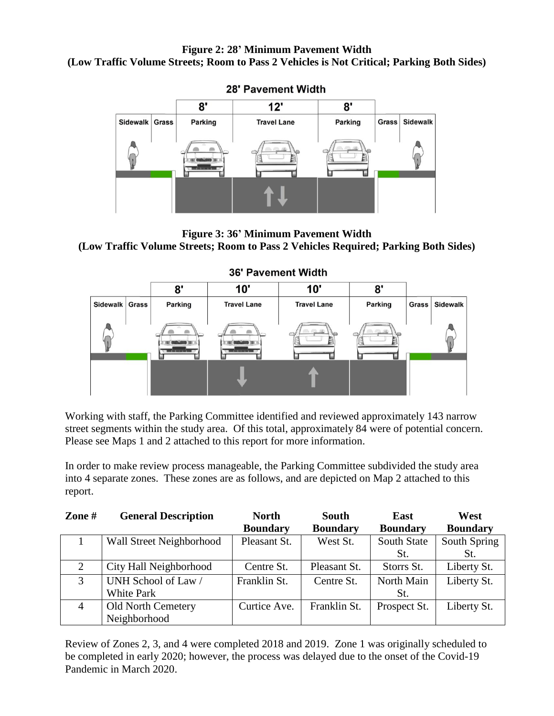#### **Figure 2: 28' Minimum Pavement Width (Low Traffic Volume Streets; Room to Pass 2 Vehicles is Not Critical; Parking Both Sides)**



#### **28' Pavement Width**

**Figure 3: 36' Minimum Pavement Width (Low Traffic Volume Streets; Room to Pass 2 Vehicles Required; Parking Both Sides)**



## Working with staff, the Parking Committee identified and reviewed approximately 143 narrow street segments within the study area. Of this total, approximately 84 were of potential concern. Please see Maps 1 and 2 attached to this report for more information.

In order to make review process manageable, the Parking Committee subdivided the study area into 4 separate zones. These zones are as follows, and are depicted on Map 2 attached to this report.

| Zone $#$       | <b>General Description</b> | <b>North</b>    | <b>South</b>    | East               | West            |
|----------------|----------------------------|-----------------|-----------------|--------------------|-----------------|
|                |                            | <b>Boundary</b> | <b>Boundary</b> | <b>Boundary</b>    | <b>Boundary</b> |
|                | Wall Street Neighborhood   | Pleasant St.    | West St.        | <b>South State</b> | South Spring    |
|                |                            |                 |                 | St.                | St.             |
| $\overline{2}$ | City Hall Neighborhood     | Centre St.      | Pleasant St.    | Storrs St.         | Liberty St.     |
| 3              | UNH School of Law /        | Franklin St.    | Centre St.      | North Main         | Liberty St.     |
|                | <b>White Park</b>          |                 |                 | St.                |                 |
| $\overline{4}$ | <b>Old North Cemetery</b>  | Curtice Ave.    | Franklin St.    | Prospect St.       | Liberty St.     |
|                | Neighborhood               |                 |                 |                    |                 |

Review of Zones 2, 3, and 4 were completed 2018 and 2019. Zone 1 was originally scheduled to be completed in early 2020; however, the process was delayed due to the onset of the Covid-19 Pandemic in March 2020.

#### **36' Pavement Width**